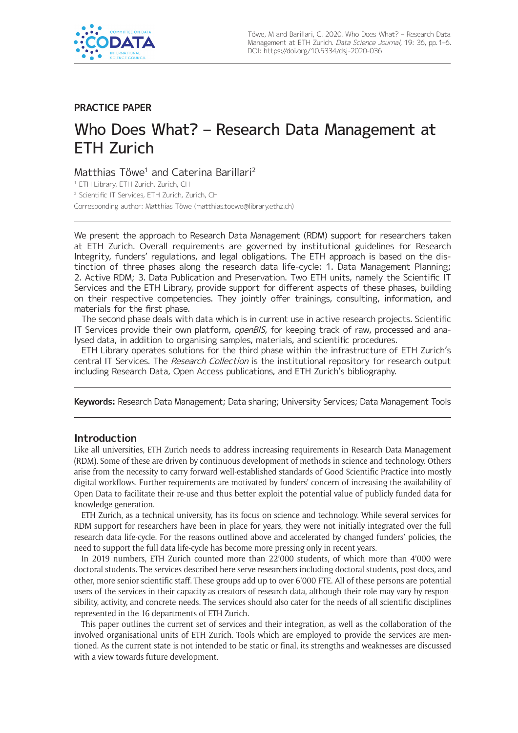

## **PRACTICE PAPER**

# Who Does What? – Research Data Management at ETH Zurich

# Matthias Töwe<sup>1</sup> and Caterina Barillari<sup>2</sup>

<sup>1</sup> ETH Library, ETH Zurich, Zurich, CH <sup>2</sup> Scientific IT Services, ETH Zurich, Zurich, CH Corresponding author: Matthias Töwe [\(matthias.toewe@library.ethz.ch](mailto:matthias.toewe@library.ethz.ch))

We present the approach to Research Data Management (RDM) support for researchers taken at ETH Zurich. Overall requirements are governed by institutional guidelines for Research Integrity, funders' regulations, and legal obligations. The ETH approach is based on the distinction of three phases along the research data life-cycle: 1. Data Management Planning; 2. Active RDM; 3. Data Publication and Preservation. Two ETH units, namely the Scientific IT Services and the ETH Library, provide support for different aspects of these phases, building on their respective competencies. They jointly offer trainings, consulting, information, and materials for the first phase.

The second phase deals with data which is in current use in active research projects. Scientific IT Services provide their own platform, openBIS, for keeping track of raw, processed and analysed data, in addition to organising samples, materials, and scientific procedures.

ETH Library operates solutions for the third phase within the infrastructure of ETH Zurich's central IT Services. The Research Collection is the institutional repository for research output including Research Data, Open Access publications, and ETH Zurich's bibliography.

**Keywords:** Research Data Management; Data sharing; University Services; Data Management Tools

## **Introduction**

Like all universities, ETH Zurich needs to address increasing requirements in Research Data Management (RDM). Some of these are driven by continuous development of methods in science and technology. Others arise from the necessity to carry forward well-established standards of Good Scientific Practice into mostly digital workflows. Further requirements are motivated by funders' concern of increasing the availability of Open Data to facilitate their re-use and thus better exploit the potential value of publicly funded data for knowledge generation.

ETH Zurich, as a technical university, has its focus on science and technology. While several services for RDM support for researchers have been in place for years, they were not initially integrated over the full research data life-cycle. For the reasons outlined above and accelerated by changed funders' policies, the need to support the full data life-cycle has become more pressing only in recent years.

In 2019 numbers, ETH Zurich counted more than 22'000 students, of which more than 4'000 were doctoral students. The services described here serve researchers including doctoral students, post-docs, and other, more senior scientific staff. These groups add up to over 6'000 FTE. All of these persons are potential users of the services in their capacity as creators of research data, although their role may vary by responsibility, activity, and concrete needs. The services should also cater for the needs of all scientific disciplines represented in the 16 departments of ETH Zurich.

This paper outlines the current set of services and their integration, as well as the collaboration of the involved organisational units of ETH Zurich. Tools which are employed to provide the services are mentioned. As the current state is not intended to be static or final, its strengths and weaknesses are discussed with a view towards future development.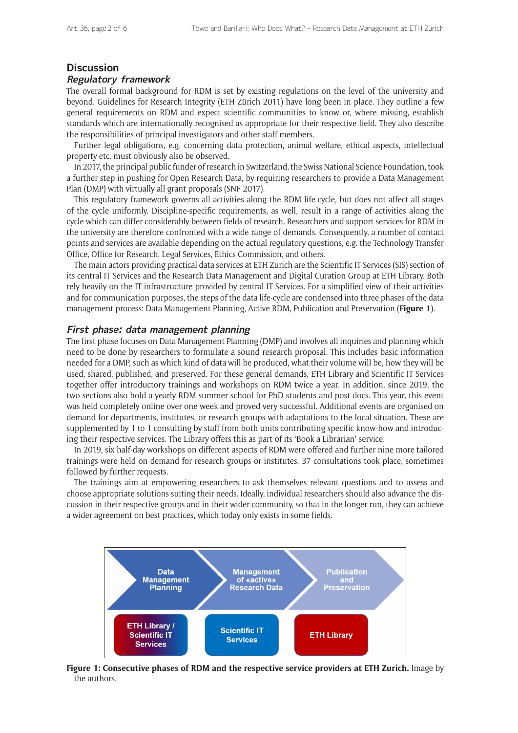## **Discussion**

#### **Regulatory framework**

The overall formal background for RDM is set by existing regulations on the level of the university and beyond. Guidelines for Research Integrity (ETH Zürich 2011) have long been in place. They outline a few general requirements on RDM and expect scientific communities to know or, where missing, establish standards which are internationally recognised as appropriate for their respective field. They also describe the responsibilities of principal investigators and other staff members.

Further legal obligations, e.g. concerning data protection, animal welfare, ethical aspects, intellectual property etc. must obviously also be observed.

In 2017, the principal public funder of research in Switzerland, the Swiss National Science Foundation, took a further step in pushing for Open Research Data, by requiring researchers to provide a Data Management Plan (DMP) with virtually all grant proposals (SNF 2017).

This regulatory framework governs all activities along the RDM life-cycle, but does not affect all stages of the cycle uniformly. Discipline-specific requirements, as well, result in a range of activities along the cycle which can differ considerably between fields of research. Researchers and support services for RDM in the university are therefore confronted with a wide range of demands. Consequently, a number of contact points and services are available depending on the actual regulatory questions, e.g. the Technology Transfer Office, Office for Research, Legal Services, Ethics Commission, and others.

The main actors providing practical data services at ETH Zurich are the Scientific IT Services (SIS) section of its central IT Services and the Research Data Management and Digital Curation Group at ETH Library. Both rely heavily on the IT infrastructure provided by central IT Services. For a simplified view of their activities and for communication purposes, the steps of the data life-cycle are condensed into three phases of the data management process: Data Management Planning, Active RDM, Publication and Preservation (**Figure 1**).

#### **First phase: data management planning**

The first phase focuses on Data Management Planning (DMP) and involves all inquiries and planning which need to be done by researchers to formulate a sound research proposal. This includes basic information needed for a DMP, such as which kind of data will be produced, what their volume will be, how they will be used, shared, published, and preserved. For these general demands, ETH Library and Scientific IT Services together offer introductory trainings and workshops on RDM twice a year. In addition, since 2019, the two sections also hold a yearly RDM summer school for PhD students and post-docs. This year, this event was held completely online over one week and proved very successful. Additional events are organised on demand for departments, institutes, or research groups with adaptations to the local situation. These are supplemented by 1 to 1 consulting by staff from both units contributing specific know-how and introducing their respective services. The Library offers this as part of its 'Book a Librarian' service.

In 2019, six half-day workshops on different aspects of RDM were offered and further nine more tailored trainings were held on demand for research groups or institutes. 37 consultations took place, sometimes followed by further requests.

The trainings aim at empowering researchers to ask themselves relevant questions and to assess and choose appropriate solutions suiting their needs. Ideally, individual researchers should also advance the discussion in their respective groups and in their wider community, so that in the longer run, they can achieve a wider agreement on best practices, which today only exists in some fields.



**Figure 1: Consecutive phases of RDM and the respective service providers at ETH Zurich.** Image by the authors.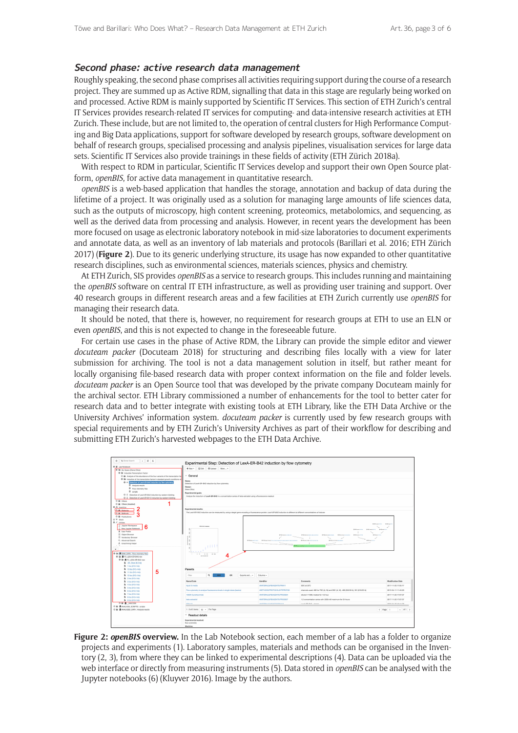#### **Second phase: active research data management**

Roughly speaking, the second phase comprises all activities requiring support during the course of a research project. They are summed up as Active RDM, signalling that data in this stage are regularly being worked on and processed. Active RDM is mainly supported by Scientific IT Services. This section of ETH Zurich's central IT Services provides research-related IT services for computing- and data-intensive research activities at ETH Zurich. These include, but are not limited to, the operation of central clusters for High Performance Computing and Big Data applications, support for software developed by research groups, software development on behalf of research groups, specialised processing and analysis pipelines, visualisation services for large data sets. Scientific IT Services also provide trainings in these fields of activity (ETH Zürich 2018a).

With respect to RDM in particular, Scientific IT Services develop and support their own Open Source platform, *openBIS*, for active data management in quantitative research.

*openBIS* is a web-based application that handles the storage, annotation and backup of data during the lifetime of a project. It was originally used as a solution for managing large amounts of life sciences data, such as the outputs of microscopy, high content screening, proteomics, metabolomics, and sequencing, as well as the derived data from processing and analysis. However, in recent years the development has been more focused on usage as electronic laboratory notebook in mid-size laboratories to document experiments and annotate data, as well as an inventory of lab materials and protocols (Barillari et al. 2016; ETH Zürich 2017) (**Figure 2**). Due to its generic underlying structure, its usage has now expanded to other quantitative research disciplines, such as environmental sciences, materials sciences, physics and chemistry.

At ETH Zurich, SIS provides *openBIS* as a service to research groups. This includes running and maintaining the *openBIS* software on central IT ETH infrastructure, as well as providing user training and support. Over 40 research groups in different research areas and a few facilities at ETH Zurich currently use *openBIS* for managing their research data.

It should be noted, that there is, however, no requirement for research groups at ETH to use an ELN or even *openBIS*, and this is not expected to change in the foreseeable future.

For certain use cases in the phase of Active RDM, the Library can provide the simple editor and viewer *docuteam packer* (Docuteam 2018) for structuring and describing files locally with a view for later submission for archiving. The tool is not a data management solution in itself, but rather meant for locally organising file-based research data with proper context information on the file and folder levels. *docuteam packer* is an Open Source tool that was developed by the private company Docuteam mainly for the archival sector. ETH Library commissioned a number of enhancements for the tool to better cater for research data and to better integrate with existing tools at ETH Library, like the ETH Data Archive or the University Archives' information system. *docuteam packer* is currently used by few research groups with special requirements and by ETH Zurich's University Archives as part of their workflow for describing and submitting ETH Zurich's harvested webpages to the ETH Data Archive.



**Figure 2:** *openBIS* **overview.** In the Lab Notebook section, each member of a lab has a folder to organize projects and experiments (1). Laboratory samples, materials and methods can be organised in the Inventory (2, 3), from where they can be linked to experimental descriptions (4). Data can be uploaded via the web interface or directly from measuring instruments (5). Data stored in *openBIS* can be analysed with the Jupyter notebooks (6) (Kluyver 2016). Image by the authors.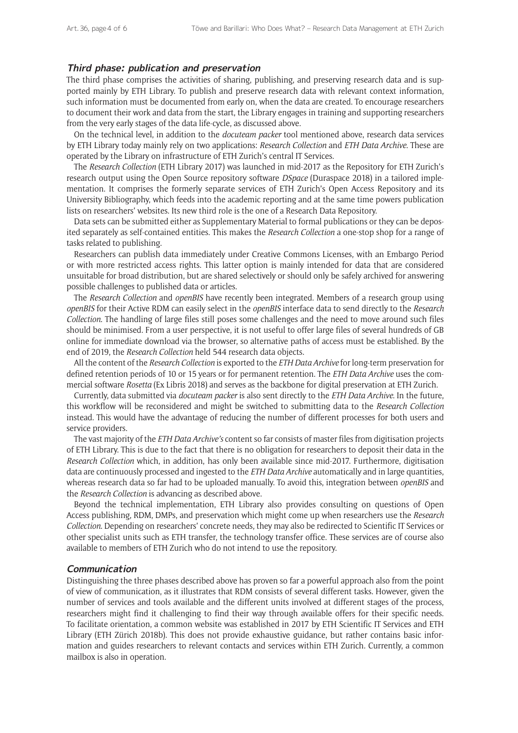## **Third phase: publication and preservation**

The third phase comprises the activities of sharing, publishing, and preserving research data and is supported mainly by ETH Library. To publish and preserve research data with relevant context information, such information must be documented from early on, when the data are created. To encourage researchers to document their work and data from the start, the Library engages in training and supporting researchers from the very early stages of the data life-cycle, as discussed above.

On the technical level, in addition to the *docuteam packer* tool mentioned above, research data services by ETH Library today mainly rely on two applications: *Research Collection* and *ETH Data Archive*. These are operated by the Library on infrastructure of ETH Zurich's central IT Services.

The *Research Collection* (ETH Library 2017) was launched in mid-2017 as the Repository for ETH Zurich's research output using the Open Source repository software *DSpace* (Duraspace 2018) in a tailored implementation. It comprises the formerly separate services of ETH Zurich's Open Access Repository and its University Bibliography, which feeds into the academic reporting and at the same time powers publication lists on researchers' websites. Its new third role is the one of a Research Data Repository.

Data sets can be submitted either as Supplementary Material to formal publications or they can be deposited separately as self-contained entities. This makes the *Research Collection* a one-stop shop for a range of tasks related to publishing.

Researchers can publish data immediately under Creative Commons Licenses, with an Embargo Period or with more restricted access rights. This latter option is mainly intended for data that are considered unsuitable for broad distribution, but are shared selectively or should only be safely archived for answering possible challenges to published data or articles.

The *Research Collection* and *openBIS* have recently been integrated. Members of a research group using *openBIS* for their Active RDM can easily select in the *openBIS* interface data to send directly to the *Research Collection*. The handling of large files still poses some challenges and the need to move around such files should be minimised. From a user perspective, it is not useful to offer large files of several hundreds of GB online for immediate download via the browser, so alternative paths of access must be established. By the end of 2019, the *Research Collection* held 544 research data objects.

All the content of the *Research Collection* is exported to the *ETH Data Archive* for long-term preservation for defined retention periods of 10 or 15 years or for permanent retention. The *ETH Data Archive* uses the commercial software *Rosetta* (Ex Libris 2018) and serves as the backbone for digital preservation at ETH Zurich.

Currently, data submitted via *docuteam packer* is also sent directly to the *ETH Data Archive*. In the future, this workflow will be reconsidered and might be switched to submitting data to the *Research Collection*  instead. This would have the advantage of reducing the number of different processes for both users and service providers.

The vast majority of the *ETH Data Archive's* content so far consists of master files from digitisation projects of ETH Library. This is due to the fact that there is no obligation for researchers to deposit their data in the *Research Collection* which, in addition, has only been available since mid-2017. Furthermore, digitisation data are continuously processed and ingested to the *ETH Data Archive* automatically and in large quantities, whereas research data so far had to be uploaded manually. To avoid this, integration between *openBIS* and the *Research Collection* is advancing as described above.

Beyond the technical implementation, ETH Library also provides consulting on questions of Open Access publishing, RDM, DMPs, and preservation which might come up when researchers use the *Research Collection*. Depending on researchers' concrete needs, they may also be redirected to Scientific IT Services or other specialist units such as ETH transfer, the technology transfer office. These services are of course also available to members of ETH Zurich who do not intend to use the repository.

#### **Communication**

Distinguishing the three phases described above has proven so far a powerful approach also from the point of view of communication, as it illustrates that RDM consists of several different tasks. However, given the number of services and tools available and the different units involved at different stages of the process, researchers might find it challenging to find their way through available offers for their specific needs. To facilitate orientation, a common website was established in 2017 by ETH Scientific IT Services and ETH Library (ETH Zürich 2018b). This does not provide exhaustive guidance, but rather contains basic information and guides researchers to relevant contacts and services within ETH Zurich. Currently, a common mailbox is also in operation.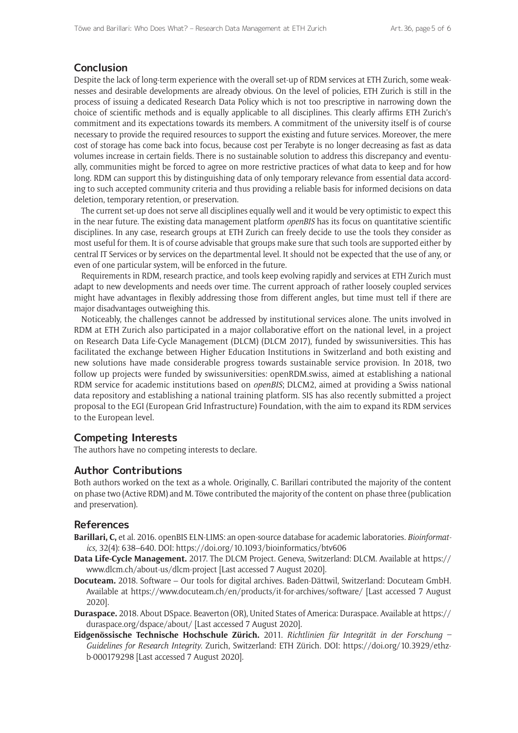## **Conclusion**

Despite the lack of long-term experience with the overall set-up of RDM services at ETH Zurich, some weaknesses and desirable developments are already obvious. On the level of policies, ETH Zurich is still in the process of issuing a dedicated Research Data Policy which is not too prescriptive in narrowing down the choice of scientific methods and is equally applicable to all disciplines. This clearly affirms ETH Zurich's commitment and its expectations towards its members. A commitment of the university itself is of course necessary to provide the required resources to support the existing and future services. Moreover, the mere cost of storage has come back into focus, because cost per Terabyte is no longer decreasing as fast as data volumes increase in certain fields. There is no sustainable solution to address this discrepancy and eventually, communities might be forced to agree on more restrictive practices of what data to keep and for how long. RDM can support this by distinguishing data of only temporary relevance from essential data according to such accepted community criteria and thus providing a reliable basis for informed decisions on data deletion, temporary retention, or preservation.

The current set-up does not serve all disciplines equally well and it would be very optimistic to expect this in the near future. The existing data management platform *openBIS* has its focus on quantitative scientific disciplines. In any case, research groups at ETH Zurich can freely decide to use the tools they consider as most useful for them. It is of course advisable that groups make sure that such tools are supported either by central IT Services or by services on the departmental level. It should not be expected that the use of any, or even of one particular system, will be enforced in the future.

Requirements in RDM, research practice, and tools keep evolving rapidly and services at ETH Zurich must adapt to new developments and needs over time. The current approach of rather loosely coupled services might have advantages in flexibly addressing those from different angles, but time must tell if there are major disadvantages outweighing this.

Noticeably, the challenges cannot be addressed by institutional services alone. The units involved in RDM at ETH Zurich also participated in a major collaborative effort on the national level, in a project on Research Data Life-Cycle Management (DLCM) (DLCM 2017), funded by swissuniversities. This has facilitated the exchange between Higher Education Institutions in Switzerland and both existing and new solutions have made considerable progress towards sustainable service provision. In 2018, two follow up projects were funded by swissuniversities: openRDM.swiss, aimed at establishing a national RDM service for academic institutions based on *openBIS*; DLCM2, aimed at providing a Swiss national data repository and establishing a national training platform. SIS has also recently submitted a project proposal to the EGI (European Grid Infrastructure) Foundation, with the aim to expand its RDM services to the European level.

## **Competing Interests**

The authors have no competing interests to declare.

## **Author Contributions**

Both authors worked on the text as a whole. Originally, C. Barillari contributed the majority of the content on phase two (Active RDM) and M. Töwe contributed the majority of the content on phase three (publication and preservation).

## **References**

- **Barillari, C,** et al. 2016. openBIS ELN-LIMS: an open-source database for academic laboratories. *Bioinformatics*, 32(4): 638–640. DOI:<https://doi.org/10.1093/bioinformatics/btv606>
- **Data Life-Cycle Management.** 2017. The DLCM Project. Geneva, Switzerland: DLCM. Available at [https://](https://www.dlcm.ch/about-us/dlcm-project) [www.dlcm.ch/about-us/dlcm-project](https://www.dlcm.ch/about-us/dlcm-project) [Last accessed 7 August 2020].
- **Docuteam.** 2018. Software Our tools for digital archives. Baden-Dättwil, Switzerland: Docuteam GmbH. Available at <https://www.docuteam.ch/en/products/it-for-archives/software/> [Last accessed 7 August 2020].
- **Duraspace.** 2018. About DSpace. Beaverton (OR), United States of America: Duraspace. Available at [https://](https://duraspace.org/dspace/about/) [duraspace.org/dspace/about/](https://duraspace.org/dspace/about/) [Last accessed 7 August 2020].
- **Eidgenössische Technische Hochschule Zürich.** 2011. *Richtlinien für Integrität in der Forschung Guidelines for Research Integrity*. Zurich, Switzerland: ETH Zürich. DOI: [https://doi.org/10.3929/ethz](https://doi.org/10.3929/ethz-b-000179298)[b-000179298](https://doi.org/10.3929/ethz-b-000179298) [Last accessed 7 August 2020].